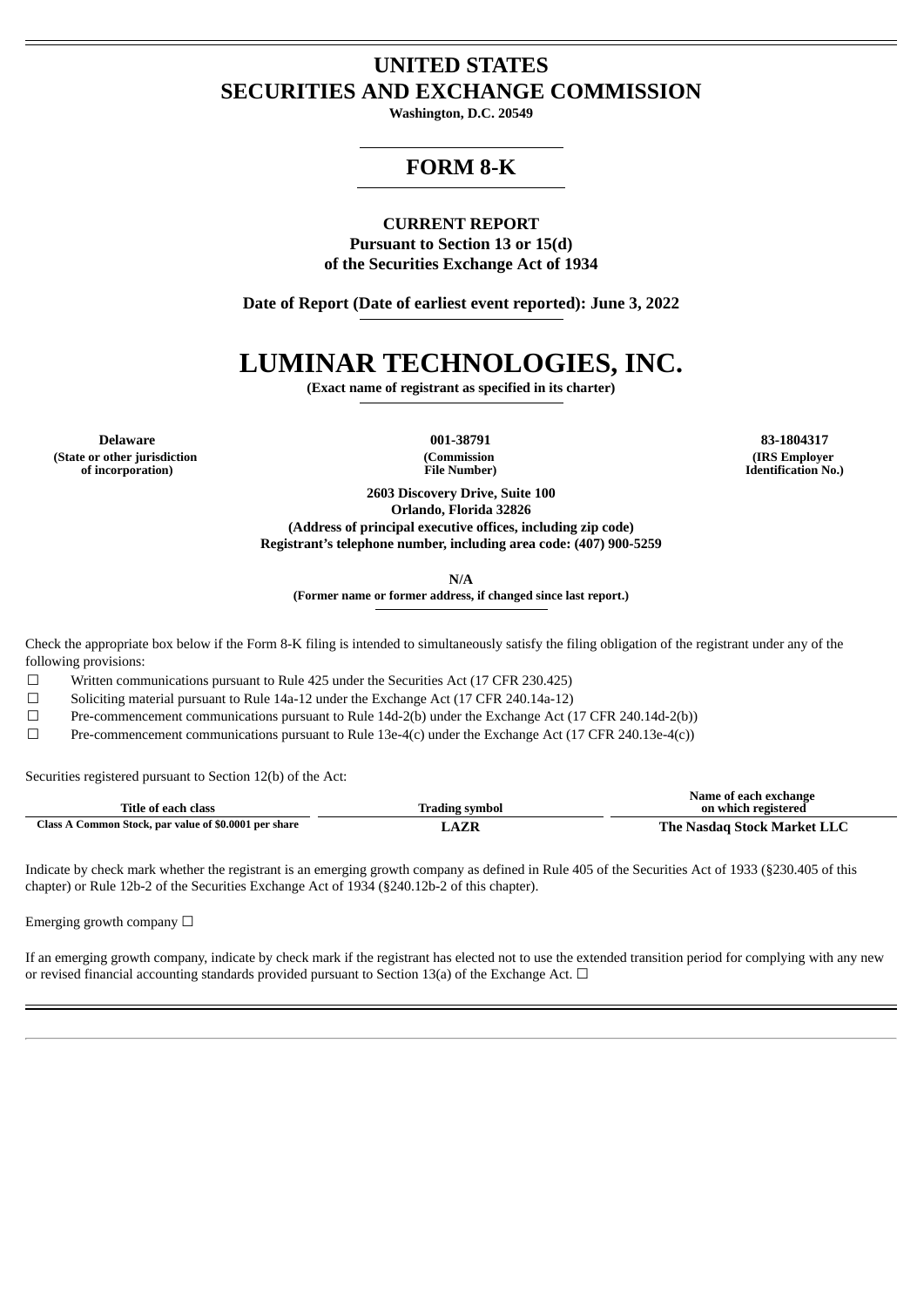## **UNITED STATES SECURITIES AND EXCHANGE COMMISSION**

**Washington, D.C. 20549**

### **FORM 8-K**

## **CURRENT REPORT**

**Pursuant to Section 13 or 15(d) of the Securities Exchange Act of 1934**

**Date of Report (Date of earliest event reported): June 3, 2022**

# **LUMINAR TECHNOLOGIES, INC.**

**(Exact name of registrant as specified in its charter)**

**Delaware 001-38791 83-1804317 (State or other jurisdiction of incorporation)**

**(Commission File Number)**

**(IRS Employer Identification No.)**

**2603 Discovery Drive, Suite 100 Orlando, Florida 32826 (Address of principal executive offices, including zip code) Registrant's telephone number, including area code: (407) 900-5259**

**N/A**

**(Former name or former address, if changed since last report.)**

Check the appropriate box below if the Form 8-K filing is intended to simultaneously satisfy the filing obligation of the registrant under any of the following provisions:

 $\Box$  Written communications pursuant to Rule 425 under the Securities Act (17 CFR 230.425)

 $\Box$  Soliciting material pursuant to Rule 14a-12 under the Exchange Act (17 CFR 240.14a-12)

☐ Pre-commencement communications pursuant to Rule 14d-2(b) under the Exchange Act (17 CFR 240.14d-2(b))

 $\Box$  Pre-commencement communications pursuant to Rule 13e-4(c) under the Exchange Act (17 CFR 240.13e-4(c))

Securities registered pursuant to Section 12(b) of the Act:

| Title of each class                                               | Irading svmbol | Name of each exchange<br>on which registered |
|-------------------------------------------------------------------|----------------|----------------------------------------------|
| Common Stock, par value of \$0.0001 per share<br>$\text{Class}$ . | <b>A7L</b>     | The Nasdag Stock Market LLC                  |

Indicate by check mark whether the registrant is an emerging growth company as defined in Rule 405 of the Securities Act of 1933 (§230.405 of this chapter) or Rule 12b-2 of the Securities Exchange Act of 1934 (§240.12b-2 of this chapter).

Emerging growth company  $\Box$ 

If an emerging growth company, indicate by check mark if the registrant has elected not to use the extended transition period for complying with any new or revised financial accounting standards provided pursuant to Section 13(a) of the Exchange Act.  $\Box$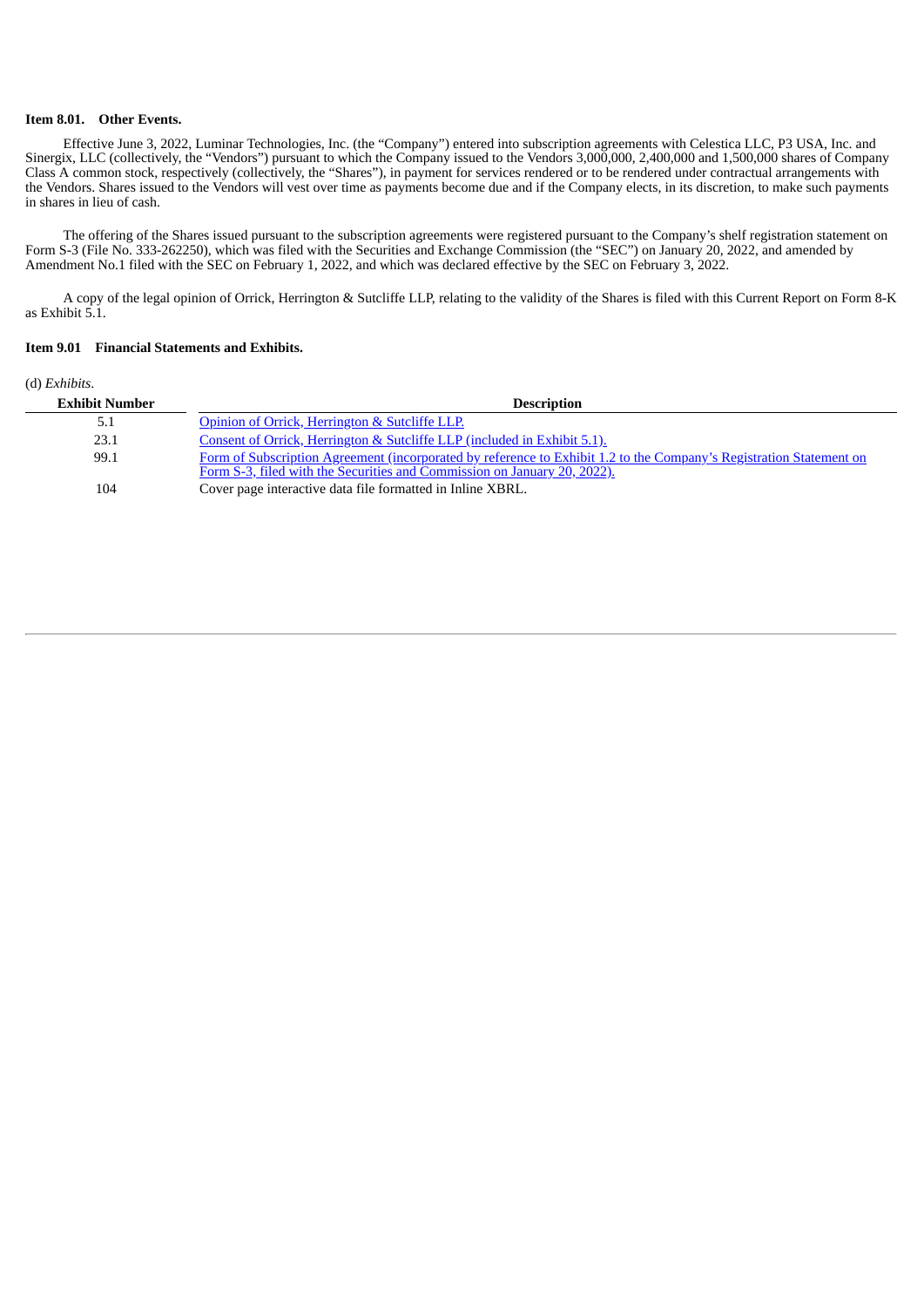#### **Item 8.01. Other Events.**

Effective June 3, 2022, Luminar Technologies, Inc. (the "Company") entered into subscription agreements with Celestica LLC, P3 USA, Inc. and Sinergix, LLC (collectively, the "Vendors") pursuant to which the Company issued to the Vendors 3,000,000, 2,400,000 and 1,500,000 shares of Company Class A common stock, respectively (collectively, the "Shares"), in payment for services rendered or to be rendered under contractual arrangements with the Vendors. Shares issued to the Vendors will vest over time as payments become due and if the Company elects, in its discretion, to make such payments in shares in lieu of cash.

The offering of the Shares issued pursuant to the subscription agreements were registered pursuant to the Company's shelf registration statement on Form S-3 (File No. 333-262250), which was filed with the Securities and Exchange Commission (the "SEC") on January 20, 2022, and amended by Amendment No.1 filed with the SEC on February 1, 2022, and which was declared effective by the SEC on February 3, 2022.

A copy of the legal opinion of Orrick, Herrington & Sutcliffe LLP, relating to the validity of the Shares is filed with this Current Report on Form 8-K as Exhibit 5.1.

#### **Item 9.01 Financial Statements and Exhibits.**

#### (d) *Exhibits*.

| <b>Exhibit Number</b> | <b>Description</b>                                                                                                                                                                              |
|-----------------------|-------------------------------------------------------------------------------------------------------------------------------------------------------------------------------------------------|
| 5.1                   | Opinion of Orrick, Herrington & Sutcliffe LLP.                                                                                                                                                  |
| 23.1                  | Consent of Orrick, Herrington & Sutcliffe LLP (included in Exhibit 5.1).                                                                                                                        |
| 99.1                  | Form of Subscription Agreement (incorporated by reference to Exhibit 1.2 to the Company's Registration Statement on<br>Form S-3, filed with the Securities and Commission on January 20, 2022). |
| 104                   | Cover page interactive data file formatted in Inline XBRL.                                                                                                                                      |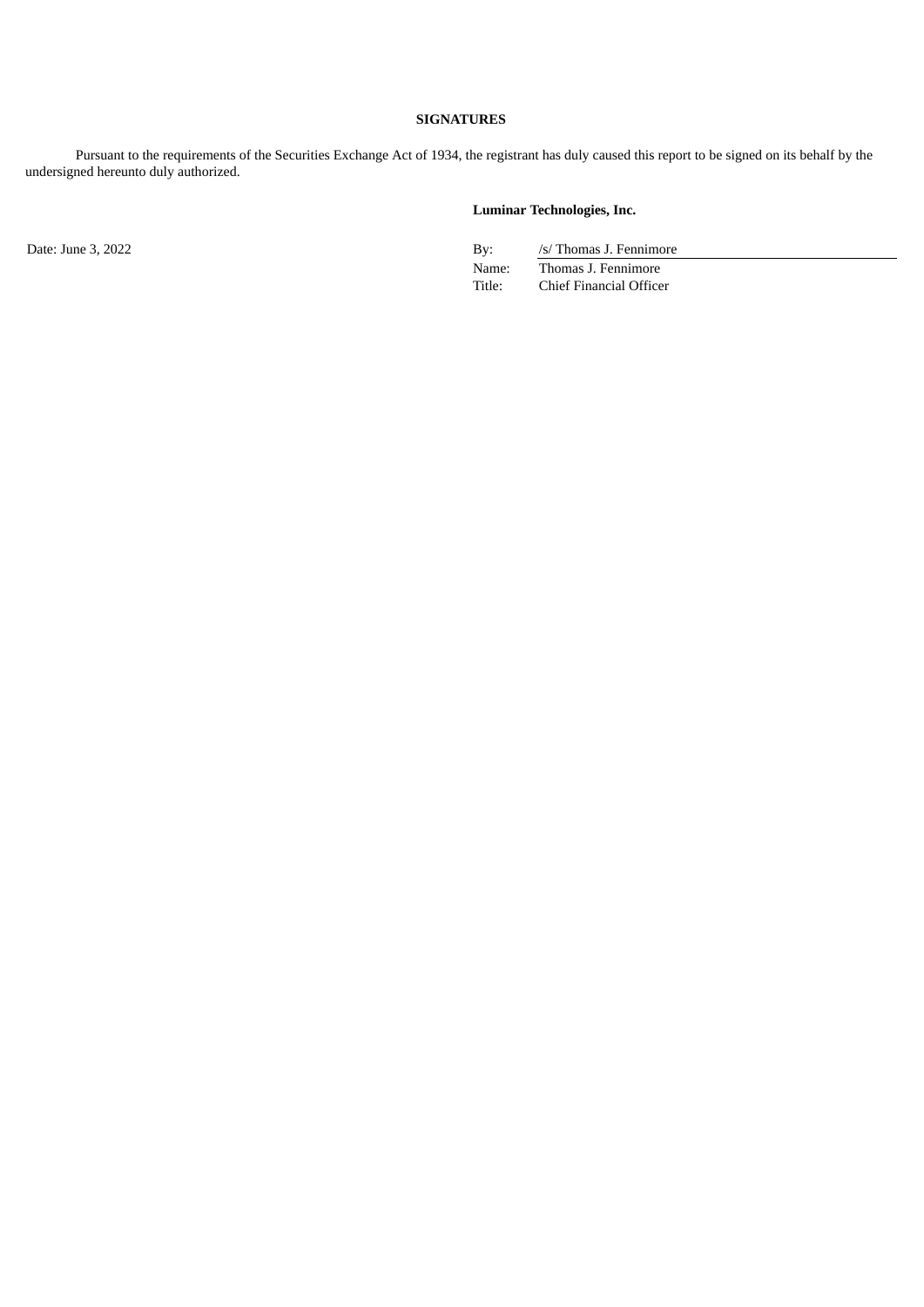#### **SIGNATURES**

Pursuant to the requirements of the Securities Exchange Act of 1934, the registrant has duly caused this report to be signed on its behalf by the undersigned hereunto duly authorized.

#### **Luminar Technologies, Inc.**

Date: June 3, 2022 By: /s/ Thomas J. Fennimore Name: Thomas J. Fennimore Title: Chief Financial Officer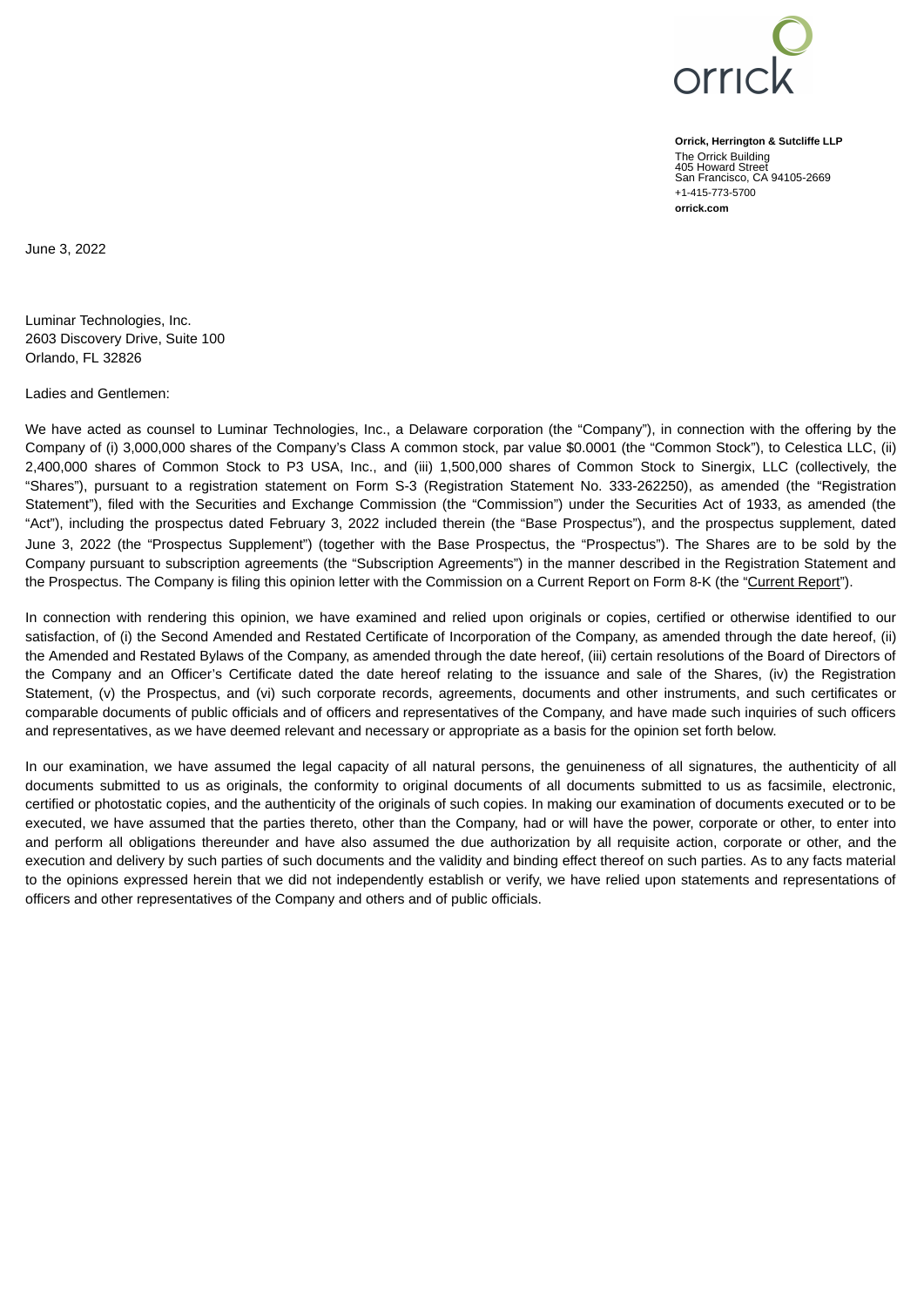

**Orrick, Herrington & Sutcliffe LLP** The Orrick Building 405 Howard Street San Francisco, CA 94105-2669 +1-415-773-5700 **orrick.com**

<span id="page-3-0"></span>June 3, 2022

Luminar Technologies, Inc. 2603 Discovery Drive, Suite 100 Orlando, FL 32826

Ladies and Gentlemen:

We have acted as counsel to Luminar Technologies, Inc., a Delaware corporation (the "Company"), in connection with the offering by the Company of (i) 3,000,000 shares of the Company's Class A common stock, par value \$0.0001 (the "Common Stock"), to Celestica LLC, (ii) 2,400,000 shares of Common Stock to P3 USA, Inc., and (iii) 1,500,000 shares of Common Stock to Sinergix, LLC (collectively, the "Shares"), pursuant to a registration statement on Form S-3 (Registration Statement No. 333-262250), as amended (the "Registration Statement"), filed with the Securities and Exchange Commission (the "Commission") under the Securities Act of 1933, as amended (the "Act"), including the prospectus dated February 3, 2022 included therein (the "Base Prospectus"), and the prospectus supplement, dated June 3, 2022 (the "Prospectus Supplement") (together with the Base Prospectus, the "Prospectus"). The Shares are to be sold by the Company pursuant to subscription agreements (the "Subscription Agreements") in the manner described in the Registration Statement and the Prospectus. The Company is filing this opinion letter with the Commission on a Current Report on Form 8-K (the "Current Report").

In connection with rendering this opinion, we have examined and relied upon originals or copies, certified or otherwise identified to our satisfaction, of (i) the Second Amended and Restated Certificate of Incorporation of the Company, as amended through the date hereof, (ii) the Amended and Restated Bylaws of the Company, as amended through the date hereof, (iii) certain resolutions of the Board of Directors of the Company and an Officer's Certificate dated the date hereof relating to the issuance and sale of the Shares, (iv) the Registration Statement, (v) the Prospectus, and (vi) such corporate records, agreements, documents and other instruments, and such certificates or comparable documents of public officials and of officers and representatives of the Company, and have made such inquiries of such officers and representatives, as we have deemed relevant and necessary or appropriate as a basis for the opinion set forth below.

In our examination, we have assumed the legal capacity of all natural persons, the genuineness of all signatures, the authenticity of all documents submitted to us as originals, the conformity to original documents of all documents submitted to us as facsimile, electronic, certified or photostatic copies, and the authenticity of the originals of such copies. In making our examination of documents executed or to be executed, we have assumed that the parties thereto, other than the Company, had or will have the power, corporate or other, to enter into and perform all obligations thereunder and have also assumed the due authorization by all requisite action, corporate or other, and the execution and delivery by such parties of such documents and the validity and binding effect thereof on such parties. As to any facts material to the opinions expressed herein that we did not independently establish or verify, we have relied upon statements and representations of officers and other representatives of the Company and others and of public officials.